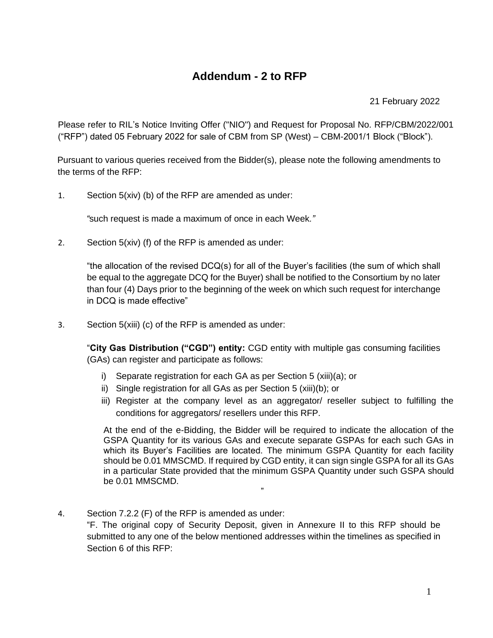# **Addendum - 2 to RFP**

21 February 2022

Please refer to RIL's Notice Inviting Offer ("NIO") and Request for Proposal No. RFP/CBM/2022/001 ("RFP") dated 05 February 2022 for sale of CBM from SP (West) – CBM-2001/1 Block ("Block").

Pursuant to various queries received from the Bidder(s), please note the following amendments to the terms of the RFP:

1. Section 5(xiv) (b) of the RFP are amended as under:

*"*such request is made a maximum of once in each Week*."*

2. Section 5(xiv) (f) of the RFP is amended as under:

"the allocation of the revised DCQ(s) for all of the Buyer's facilities (the sum of which shall be equal to the aggregate DCQ for the Buyer) shall be notified to the Consortium by no later than four (4) Days prior to the beginning of the week on which such request for interchange in DCQ is made effective"

3. Section 5(xiii) (c) of the RFP is amended as under:

"**City Gas Distribution ("CGD") entity:** CGD entity with multiple gas consuming facilities (GAs) can register and participate as follows:

- i) Separate registration for each GA as per Section 5 (xiii)(a); or
- ii) Single registration for all GAs as per Section 5 (xiii)(b); or
- iii) Register at the company level as an aggregator/ reseller subject to fulfilling the conditions for aggregators/ resellers under this RFP.

At the end of the e-Bidding, the Bidder will be required to indicate the allocation of the GSPA Quantity for its various GAs and execute separate GSPAs for each such GAs in which its Buyer's Facilities are located. The minimum GSPA Quantity for each facility should be 0.01 MMSCMD. If required by CGD entity, it can sign single GSPA for all its GAs in a particular State provided that the minimum GSPA Quantity under such GSPA should be 0.01 MMSCMD.

4. Section 7.2.2 (F) of the RFP is amended as under: "F. The original copy of Security Deposit, given in Annexure II to this RFP should be submitted to any one of the below mentioned addresses within the timelines as specified in Section 6 of this RFP:

"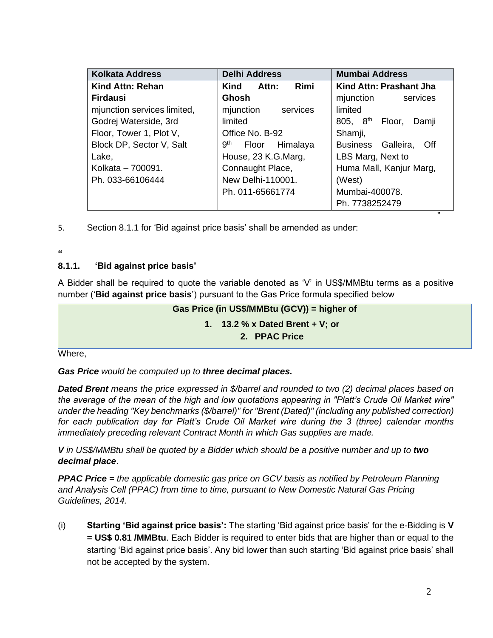| <b>Kolkata Address</b>      | <b>Delhi Address</b>              | <b>Mumbai Address</b>            |
|-----------------------------|-----------------------------------|----------------------------------|
| <b>Kind Attn: Rehan</b>     | Rimi<br>Attn:<br>Kind             | Kind Attn: Prashant Jha          |
| <b>Firdausi</b>             | Ghosh                             | mjunction<br>services            |
| mjunction services limited, | mjunction<br>services             | limited                          |
| Godrej Waterside, 3rd       | limited                           | $805, 8^{th}$<br>Floor,<br>Damji |
| Floor, Tower 1, Plot V,     | Office No. B-92                   | Shamji,                          |
| Block DP, Sector V, Salt    | 9 <sup>th</sup><br>Floor Himalaya | Business Galleira,<br>Off        |
| Lake,                       | House, 23 K.G.Marg,               | LBS Marg, Next to                |
| Kolkata - 700091.           | Connaught Place,                  | Huma Mall, Kanjur Marg,          |
| Ph. 033-66106444            | New Delhi-110001.                 | (West)                           |
|                             | Ph. 011-65661774                  | Mumbai-400078.                   |
|                             |                                   | Ph. 7738252479                   |

5. Section 8.1.1 for 'Bid against price basis' shall be amended as under:

### **"**

## **8.1.1. 'Bid against price basis'**

A Bidder shall be required to quote the variable denoted as 'V' in US\$/MMBtu terms as a positive number ('**Bid against price basis**') pursuant to the Gas Price formula specified below

## **Gas Price (in US\$/MMBtu (GCV)) = higher of 1. 13.2 % x Dated Brent + V; or 2. PPAC Price**

Where,

*Gas Price would be computed up to three decimal places.*

*Dated Brent means the price expressed in \$/barrel and rounded to two (2) decimal places based on the average of the mean of the high and low quotations appearing in "Platt's Crude Oil Market wire" under the heading "Key benchmarks (\$/barrel)" for "Brent (Dated)" (including any published correction) for each publication day for Platt's Crude Oil Market wire during the 3 (three) calendar months immediately preceding relevant Contract Month in which Gas supplies are made.*

*V in US\$/MMBtu shall be quoted by a Bidder which should be a positive number and up to two decimal place*.

*PPAC Price = the applicable domestic gas price on GCV basis as notified by Petroleum Planning and Analysis Cell (PPAC) from time to time, pursuant to New Domestic Natural Gas Pricing Guidelines, 2014.*

(i) **Starting 'Bid against price basis':** The starting 'Bid against price basis' for the e-Bidding is **V = US\$ 0.81 /MMBtu**. Each Bidder is required to enter bids that are higher than or equal to the starting 'Bid against price basis'. Any bid lower than such starting 'Bid against price basis' shall not be accepted by the system.

"